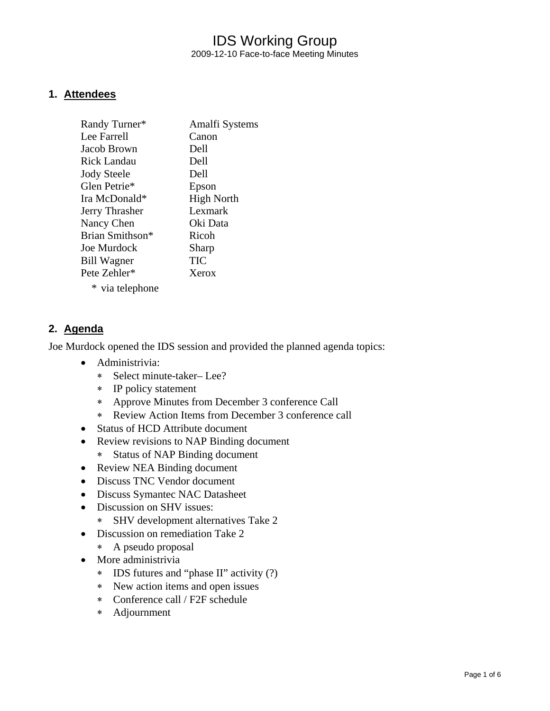## IDS Working Group 2009-12-10 Face-to-face Meeting Minutes

#### **1. Attendees**

| Randy Turner*      | Amalfi Systems    |
|--------------------|-------------------|
| Lee Farrell        | Canon             |
| Jacob Brown        | Dell              |
| Rick Landau        | Dell              |
| <b>Jody Steele</b> | Dell              |
| Glen Petrie*       | Epson             |
| Ira McDonald*      | <b>High North</b> |
| Jerry Thrasher     | Lexmark           |
| Nancy Chen         | Oki Data          |
| Brian Smithson*    | Ricoh             |
| Joe Murdock        | Sharp             |
| <b>Bill Wagner</b> | <b>TIC</b>        |
| Pete Zehler*       | Xerox             |
| * via telephone    |                   |

#### **2. Agenda**

Joe Murdock opened the IDS session and provided the planned agenda topics:

- Administrivia:
	- ∗ Select minute-taker– Lee?
	- ∗ IP policy statement
	- ∗ Approve Minutes from December 3 conference Call
	- ∗ Review Action Items from December 3 conference call
- Status of HCD Attribute document
- Review revisions to NAP Binding document
	- ∗ Status of NAP Binding document
- Review NEA Binding document
- Discuss TNC Vendor document
- Discuss Symantec NAC Datasheet
- Discussion on SHV issues:
	- ∗ SHV development alternatives Take 2
- Discussion on remediation Take 2
	- ∗ A pseudo proposal
- More administrivia
	- ∗ IDS futures and "phase II" activity (?)
	- ∗ New action items and open issues
	- ∗ Conference call / F2F schedule
	- ∗ Adjournment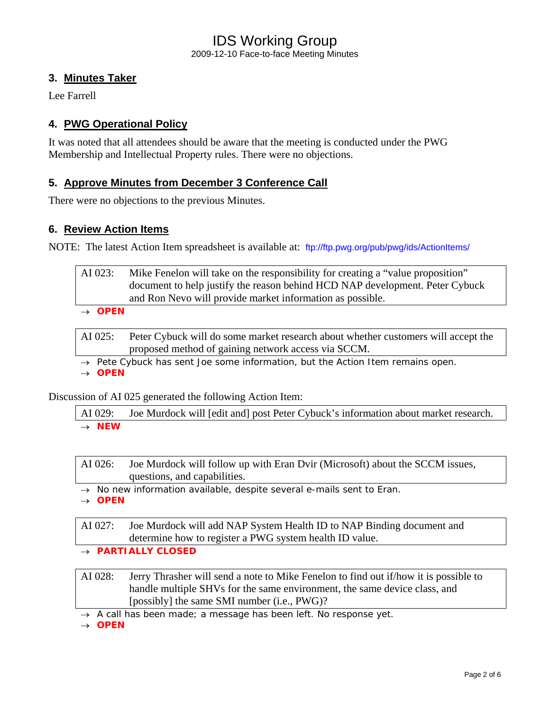## IDS Working Group 2009-12-10 Face-to-face Meeting Minutes

### **3. Minutes Taker**

Lee Farrell

### **4. PWG Operational Policy**

It was noted that all attendees should be aware that the meeting is conducted under the PWG Membership and Intellectual Property rules. There were no objections.

#### **5. Approve Minutes from December 3 Conference Call**

There were no objections to the previous Minutes.

#### **6. Review Action Items**

NOTE: The latest Action Item spreadsheet is available at: <ftp://ftp.pwg.org/pub/pwg/ids/ActionItems/>

| AI 023:    | Mike Fenelon will take on the responsibility for creating a "value proposition" |
|------------|---------------------------------------------------------------------------------|
|            | document to help justify the reason behind HCD NAP development. Peter Cybuck    |
|            | and Ron Nevo will provide market information as possible.                       |
| $\sum_{n}$ |                                                                                 |

→ *OPEN* 

AI 025: Peter Cybuck will do some market research about whether customers will accept the proposed method of gaining network access via SCCM.

→ *Pete Cybuck has sent Joe some information, but the Action Item remains open.* 

→ *OPEN*

Discussion of AI 025 generated the following Action Item:

AI 029: Joe Murdock will [edit and] post Peter Cybuck's information about market research. → *NEW* 

AI 026: Joe Murdock will follow up with Eran Dvir (Microsoft) about the SCCM issues, questions, and capabilities.

- → *No new information available, despite several e-mails sent to Eran.*
- → *OPEN*

AI 027: Joe Murdock will add NAP System Health ID to NAP Binding document and determine how to register a PWG system health ID value.

→ *PARTIALLY CLOSED*

AI 028: Jerry Thrasher will send a note to Mike Fenelon to find out if/how it is possible to handle multiple SHVs for the same environment, the same device class, and [possibly] the same SMI number (i.e., PWG)?

→ *A call has been made; a message has been left. No response yet.* 

→ *OPEN*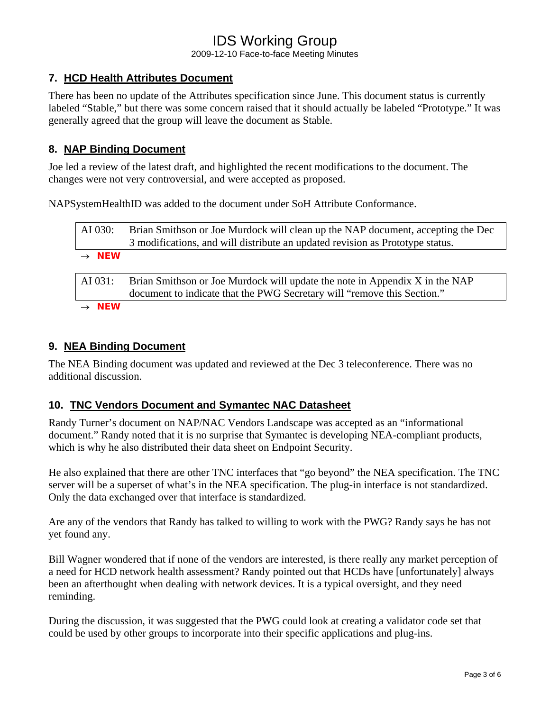2009-12-10 Face-to-face Meeting Minutes

### **7. HCD Health Attributes Document**

There has been no update of the Attributes specification since June. This document status is currently labeled "Stable," but there was some concern raised that it should actually be labeled "Prototype." It was generally agreed that the group will leave the document as Stable.

### **8. NAP Binding Document**

Joe led a review of the latest draft, and highlighted the recent modifications to the document. The changes were not very controversial, and were accepted as proposed.

NAPSystemHealthID was added to the document under SoH Attribute Conformance.

| AI 030:           | Brian Smithson or Joe Murdock will clean up the NAP document, accepting the Dec<br>3 modifications, and will distribute an updated revision as Prototype status. |
|-------------------|------------------------------------------------------------------------------------------------------------------------------------------------------------------|
| $\rightarrow$ NEW |                                                                                                                                                                  |
| AI 031:           | Brian Smithson or Joe Murdock will update the note in Appendix X in the NAP<br>document to indicate that the PWG Secretary will "remove this Section."           |
| <b>NFW</b>        |                                                                                                                                                                  |

#### **9. NEA Binding Document**

The NEA Binding document was updated and reviewed at the Dec 3 teleconference. There was no additional discussion.

#### **10. TNC Vendors Document and Symantec NAC Datasheet**

Randy Turner's document on NAP/NAC Vendors Landscape was accepted as an "informational document." Randy noted that it is no surprise that Symantec is developing NEA-compliant products, which is why he also distributed their data sheet on Endpoint Security.

He also explained that there are other TNC interfaces that "go beyond" the NEA specification. The TNC server will be a superset of what's in the NEA specification. The plug-in interface is not standardized. Only the data exchanged over that interface is standardized.

Are any of the vendors that Randy has talked to willing to work with the PWG? Randy says he has not yet found any.

Bill Wagner wondered that if none of the vendors are interested, is there really any market perception of a need for HCD network health assessment? Randy pointed out that HCDs have [unfortunately] always been an afterthought when dealing with network devices. It is a typical oversight, and they need reminding.

During the discussion, it was suggested that the PWG could look at creating a validator code set that could be used by other groups to incorporate into their specific applications and plug-ins.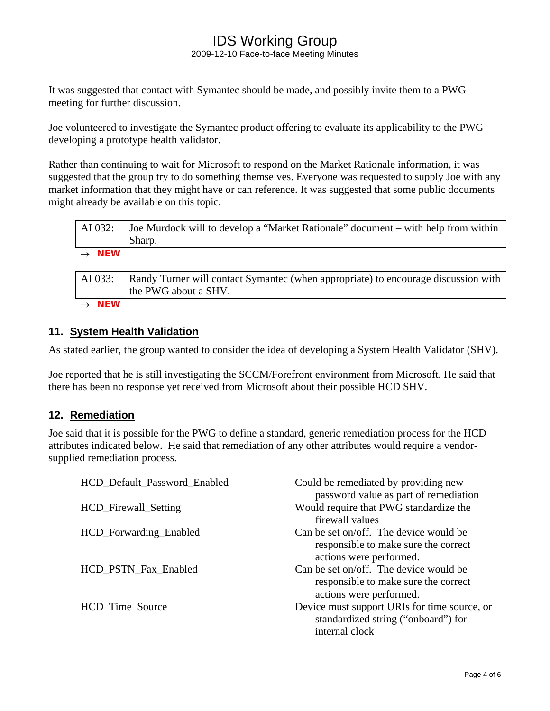2009-12-10 Face-to-face Meeting Minutes

It was suggested that contact with Symantec should be made, and possibly invite them to a PWG meeting for further discussion.

Joe volunteered to investigate the Symantec product offering to evaluate its applicability to the PWG developing a prototype health validator.

Rather than continuing to wait for Microsoft to respond on the Market Rationale information, it was suggested that the group try to do something themselves. Everyone was requested to supply Joe with any market information that they might have or can reference. It was suggested that some public documents might already be available on this topic.

| AI 032:           | Joe Murdock will to develop a "Market Rationale" document – with help from within<br>Sharp.                |
|-------------------|------------------------------------------------------------------------------------------------------------|
| $\rightarrow$ NEW |                                                                                                            |
| AI 033:           | Randy Turner will contact Symantec (when appropriate) to encourage discussion with<br>the PWG about a SHV. |
| <b>NEW</b>        |                                                                                                            |

#### **11. System Health Validation**

As stated earlier, the group wanted to consider the idea of developing a System Health Validator (SHV).

Joe reported that he is still investigating the SCCM/Forefront environment from Microsoft. He said that there has been no response yet received from Microsoft about their possible HCD SHV.

#### **12. Remediation**

Joe said that it is possible for the PWG to define a standard, generic remediation process for the HCD attributes indicated below. He said that remediation of any other attributes would require a vendorsupplied remediation process.

| HCD_Default_Password_Enabled | Could be remediated by providing new<br>password value as part of remediation                             |
|------------------------------|-----------------------------------------------------------------------------------------------------------|
| HCD_Firewall_Setting         | Would require that PWG standardize the<br>firewall values                                                 |
| HCD_Forwarding_Enabled       | Can be set on/off. The device would be<br>responsible to make sure the correct<br>actions were performed. |
| HCD_PSTN_Fax_Enabled         | Can be set on/off. The device would be<br>responsible to make sure the correct<br>actions were performed. |
| HCD_Time_Source              | Device must support URIs for time source, or<br>standardized string ("onboard") for<br>internal clock     |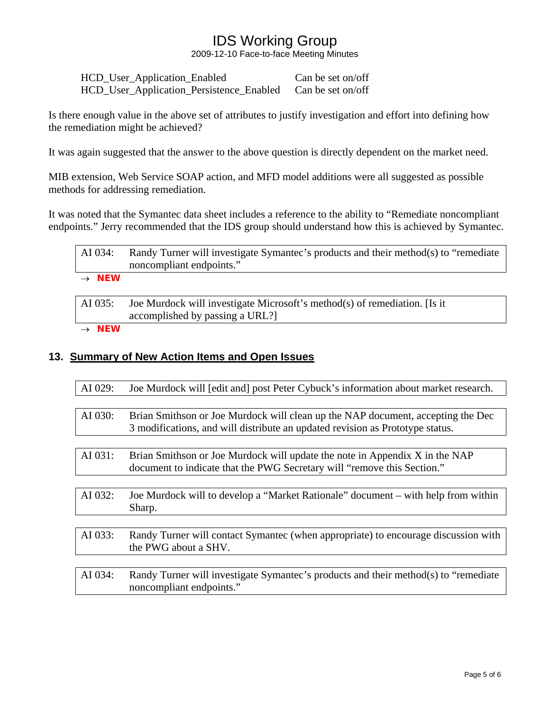2009-12-10 Face-to-face Meeting Minutes

| HCD_User_Application_Enabled             | Can be set on/off |
|------------------------------------------|-------------------|
| HCD_User_Application_Persistence_Enabled | Can be set on/off |

Is there enough value in the above set of attributes to justify investigation and effort into defining how the remediation might be achieved?

It was again suggested that the answer to the above question is directly dependent on the market need.

MIB extension, Web Service SOAP action, and MFD model additions were all suggested as possible methods for addressing remediation.

It was noted that the Symantec data sheet includes a reference to the ability to "Remediate noncompliant endpoints." Jerry recommended that the IDS group should understand how this is achieved by Symantec.

| $\rightarrow$ NEW |                                                                                     |
|-------------------|-------------------------------------------------------------------------------------|
|                   | noncompliant endpoints."                                                            |
| AI 034:           | Randy Turner will investigate Symantec's products and their method(s) to "remediate |

AI 035: Joe Murdock will investigate Microsoft's method(s) of remediation. [Is it accomplished by passing a URL?]

→ *NEW* 

#### **13. Summary of New Action Items and Open Issues**

| AI 029: | Joe Murdock will [edit and] post Peter Cybuck's information about market research.                                                                               |
|---------|------------------------------------------------------------------------------------------------------------------------------------------------------------------|
|         |                                                                                                                                                                  |
| AI 030: | Brian Smithson or Joe Murdock will clean up the NAP document, accepting the Dec<br>3 modifications, and will distribute an updated revision as Prototype status. |
|         |                                                                                                                                                                  |
| AI 031: | Brian Smithson or Joe Murdock will update the note in Appendix X in the NAP<br>document to indicate that the PWG Secretary will "remove this Section."           |
|         |                                                                                                                                                                  |
| AI 032: | Joe Murdock will to develop a "Market Rationale" document – with help from within<br>Sharp.                                                                      |
|         |                                                                                                                                                                  |
| AI 033: | Randy Turner will contact Symantec (when appropriate) to encourage discussion with<br>the PWG about a SHV.                                                       |
|         |                                                                                                                                                                  |
| AI 034: | Randy Turner will investigate Symantec's products and their method(s) to "remediate<br>noncompliant endpoints."                                                  |